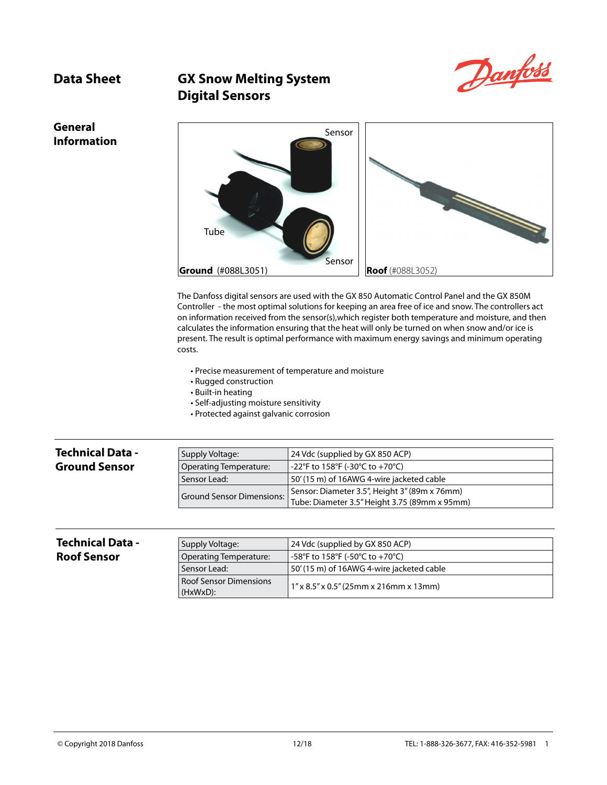

# **Data Sheet GX Snow Melting System Digital Sensors**

## **General Information**



The Danfoss digital sensors are used with the GX 850 Automatic Control Panel and the GX 850M Controller - the most optimal solutions for keeping an area free of ice and snow. The controllers act on information received from the sensor(s),which register both temperature and moisture, and then calculates the information ensuring that the heat will only be turned on when snow and/or ice is present. The result is optimal performance with maximum energy savings and minimum operating costs.

- Precise measurement of temperature and moisture
- Rugged construction
- Built-in heating
- Self-adjusting moisture sensitivity
- Protected against galvanic corrosion

| <b>Technical Data -</b> | Supply Voltage:        | 24 Vdc (supplied by GX 850 ACP)                                                                                          |
|-------------------------|------------------------|--------------------------------------------------------------------------------------------------------------------------|
| <b>Ground Sensor</b>    | Operating Temperature: | -22°F to 158°F (-30°C to +70°C)                                                                                          |
|                         | Sensor Lead:           | 50' (15 m) of 16AWG 4-wire jacketed cable                                                                                |
|                         |                        | Sensor: Diameter 3.5", Height 3" (89m x 76mm)<br>Ground Sensor Dimensions: Tube: Diameter 3.5" Height 3.75 (89mm x 95mm) |

| <b>Technical Data -</b> | Supply Voltage:                    | 24 Vdc (supplied by GX 850 ACP)           |
|-------------------------|------------------------------------|-------------------------------------------|
| <b>Roof Sensor</b>      | Operating Temperature:             | -58°F to 158°F (-50°C to +70°C)           |
|                         | Sensor Lead:                       | 50' (15 m) of 16AWG 4-wire jacketed cable |
|                         | Roof Sensor Dimensions<br>(HxWxD): | $1''$ x 8.5" x 0.5" (25mm x 216mm x 13mm) |